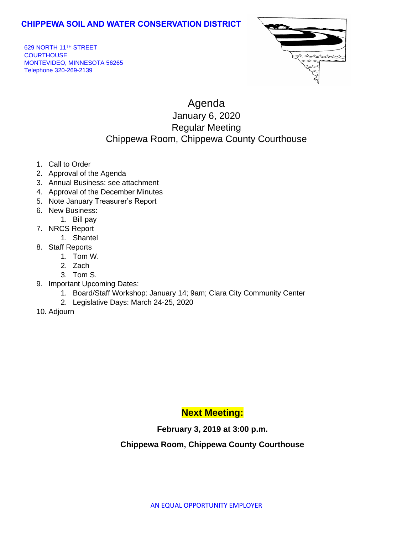### **CHIPPEWA SOIL AND WATER CONSERVATION DISTRICT**

629 NORTH 11TH STREET **COURTHOUSE** MONTEVIDEO, MINNESOTA 56265 Telephone 320-269-2139



# Agenda January 6, 2020 Regular Meeting Chippewa Room, Chippewa County Courthouse

- 1. Call to Order
- 2. Approval of the Agenda
- 3. Annual Business: see attachment
- 4. Approval of the December Minutes
- 5. Note January Treasurer's Report
- 6. New Business:
- 1. Bill pay
- 7. NRCS Report
	- 1. Shantel
- 8. Staff Reports
	- 1. Tom W.
	- 2. Zach
	- 3. Tom S.
- 9. Important Upcoming Dates:
	- 1. Board/Staff Workshop: January 14; 9am; Clara City Community Center
	- 2. Legislative Days: March 24-25, 2020
- 10. Adjourn

## **Next Meeting:**

#### **February 3, 2019 at 3:00 p.m.**

#### **Chippewa Room, Chippewa County Courthouse**